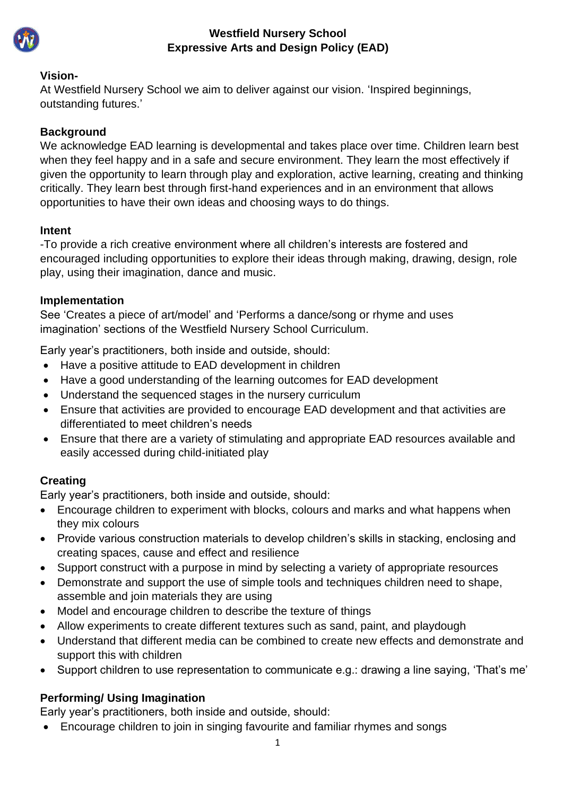

## **Westfield Nursery School Expressive Arts and Design Policy (EAD)**

## **Vision-**

At Westfield Nursery School we aim to deliver against our vision. 'Inspired beginnings, outstanding futures.'

## **Background**

We acknowledge EAD learning is developmental and takes place over time. Children learn best when they feel happy and in a safe and secure environment. They learn the most effectively if given the opportunity to learn through play and exploration, active learning, creating and thinking critically. They learn best through first-hand experiences and in an environment that allows opportunities to have their own ideas and choosing ways to do things.

## **Intent**

-To provide a rich creative environment where all children's interests are fostered and encouraged including opportunities to explore their ideas through making, drawing, design, role play, using their imagination, dance and music.

## **Implementation**

See 'Creates a piece of art/model' and 'Performs a dance/song or rhyme and uses imagination' sections of the Westfield Nursery School Curriculum.

Early year's practitioners, both inside and outside, should:

- Have a positive attitude to EAD development in children
- Have a good understanding of the learning outcomes for EAD development
- Understand the sequenced stages in the nursery curriculum
- Ensure that activities are provided to encourage EAD development and that activities are differentiated to meet children's needs
- Ensure that there are a variety of stimulating and appropriate EAD resources available and easily accessed during child-initiated play

# **Creating**

Early year's practitioners, both inside and outside, should:

- Encourage children to experiment with blocks, colours and marks and what happens when they mix colours
- Provide various construction materials to develop children's skills in stacking, enclosing and creating spaces, cause and effect and resilience
- Support construct with a purpose in mind by selecting a variety of appropriate resources
- Demonstrate and support the use of simple tools and techniques children need to shape, assemble and join materials they are using
- Model and encourage children to describe the texture of things
- Allow experiments to create different textures such as sand, paint, and playdough
- Understand that different media can be combined to create new effects and demonstrate and support this with children
- Support children to use representation to communicate e.g.: drawing a line saying, 'That's me'

# **Performing/ Using Imagination**

Early year's practitioners, both inside and outside, should:

• Encourage children to join in singing favourite and familiar rhymes and songs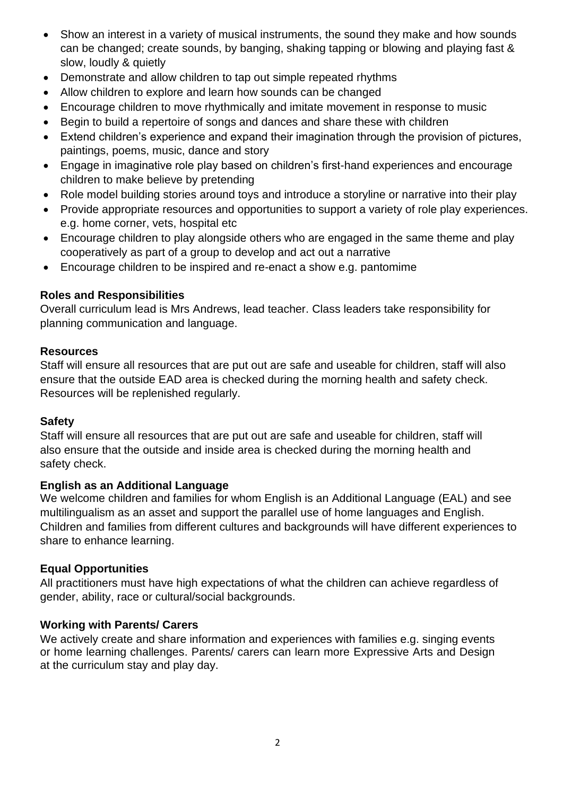- Show an interest in a variety of musical instruments, the sound they make and how sounds can be changed; create sounds, by banging, shaking tapping or blowing and playing fast & slow, loudly & quietly
- Demonstrate and allow children to tap out simple repeated rhythms
- Allow children to explore and learn how sounds can be changed
- Encourage children to move rhythmically and imitate movement in response to music
- Begin to build a repertoire of songs and dances and share these with children
- Extend children's experience and expand their imagination through the provision of pictures, paintings, poems, music, dance and story
- Engage in imaginative role play based on children's first-hand experiences and encourage children to make believe by pretending
- Role model building stories around toys and introduce a storyline or narrative into their play
- Provide appropriate resources and opportunities to support a variety of role play experiences. e.g. home corner, vets, hospital etc
- Encourage children to play alongside others who are engaged in the same theme and play cooperatively as part of a group to develop and act out a narrative
- Encourage children to be inspired and re-enact a show e.g. pantomime

### **Roles and Responsibilities**

Overall curriculum lead is Mrs Andrews, lead teacher. Class leaders take responsibility for planning communication and language.

#### **Resources**

Staff will ensure all resources that are put out are safe and useable for children, staff will also ensure that the outside EAD area is checked during the morning health and safety check. Resources will be replenished regularly.

## **Safety**

Staff will ensure all resources that are put out are safe and useable for children, staff will also ensure that the outside and inside area is checked during the morning health and safety check.

#### **English as an Additional Language**

We welcome children and families for whom English is an Additional Language (EAL) and see multilingualism as an asset and support the parallel use of home languages and English. Children and families from different cultures and backgrounds will have different experiences to share to enhance learning.

## **Equal Opportunities**

All practitioners must have high expectations of what the children can achieve regardless of gender, ability, race or cultural/social backgrounds.

## **Working with Parents/ Carers**

We actively create and share information and experiences with families e.g. singing events or home learning challenges. Parents/ carers can learn more Expressive Arts and Design at the curriculum stay and play day.